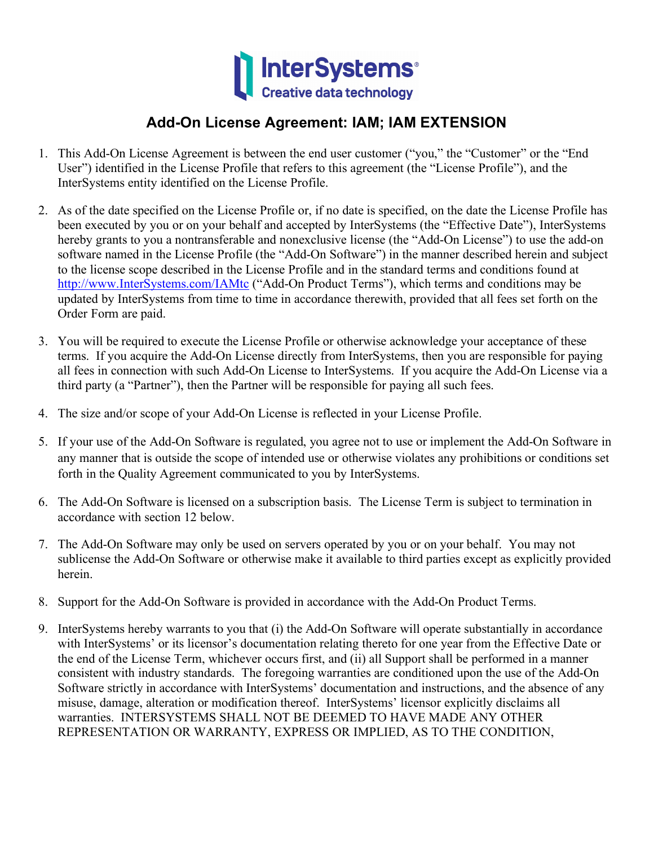

## **Add-On License Agreement: IAM; IAM EXTENSION**

- 1. This Add-On License Agreement is between the end user customer ("you," the "Customer" or the "End User") identified in the License Profile that refers to this agreement (the "License Profile"), and the InterSystems entity identified on the License Profile.
- 2. As of the date specified on the License Profile or, if no date is specified, on the date the License Profile has been executed by you or on your behalf and accepted by InterSystems (the "Effective Date"), InterSystems hereby grants to you a nontransferable and nonexclusive license (the "Add-On License") to use the add-on software named in the License Profile (the "Add-On Software") in the manner described herein and subject to the license scope described in the License Profile and in the standard terms and conditions found at [http://www.InterSystems.com/IAMtc](http://www.intersystems.com/IAMtc) ("Add-On Product Terms"), which terms and conditions may be updated by InterSystems from time to time in accordance therewith, provided that all fees set forth on the Order Form are paid.
- 3. You will be required to execute the License Profile or otherwise acknowledge your acceptance of these terms. If you acquire the Add-On License directly from InterSystems, then you are responsible for paying all fees in connection with such Add-On License to InterSystems. If you acquire the Add-On License via a third party (a "Partner"), then the Partner will be responsible for paying all such fees.
- 4. The size and/or scope of your Add-On License is reflected in your License Profile.
- 5. If your use of the Add-On Software is regulated, you agree not to use or implement the Add-On Software in any manner that is outside the scope of intended use or otherwise violates any prohibitions or conditions set forth in the Quality Agreement communicated to you by InterSystems.
- 6. The Add-On Software is licensed on a subscription basis. The License Term is subject to termination in accordance with section 12 below.
- 7. The Add-On Software may only be used on servers operated by you or on your behalf. You may not sublicense the Add-On Software or otherwise make it available to third parties except as explicitly provided herein.
- 8. Support for the Add-On Software is provided in accordance with the Add-On Product Terms.
- 9. InterSystems hereby warrants to you that (i) the Add-On Software will operate substantially in accordance with InterSystems' or its licensor's documentation relating thereto for one year from the Effective Date or the end of the License Term, whichever occurs first, and (ii) all Support shall be performed in a manner consistent with industry standards. The foregoing warranties are conditioned upon the use of the Add-On Software strictly in accordance with InterSystems' documentation and instructions, and the absence of any misuse, damage, alteration or modification thereof. InterSystems' licensor explicitly disclaims all warranties. INTERSYSTEMS SHALL NOT BE DEEMED TO HAVE MADE ANY OTHER REPRESENTATION OR WARRANTY, EXPRESS OR IMPLIED, AS TO THE CONDITION,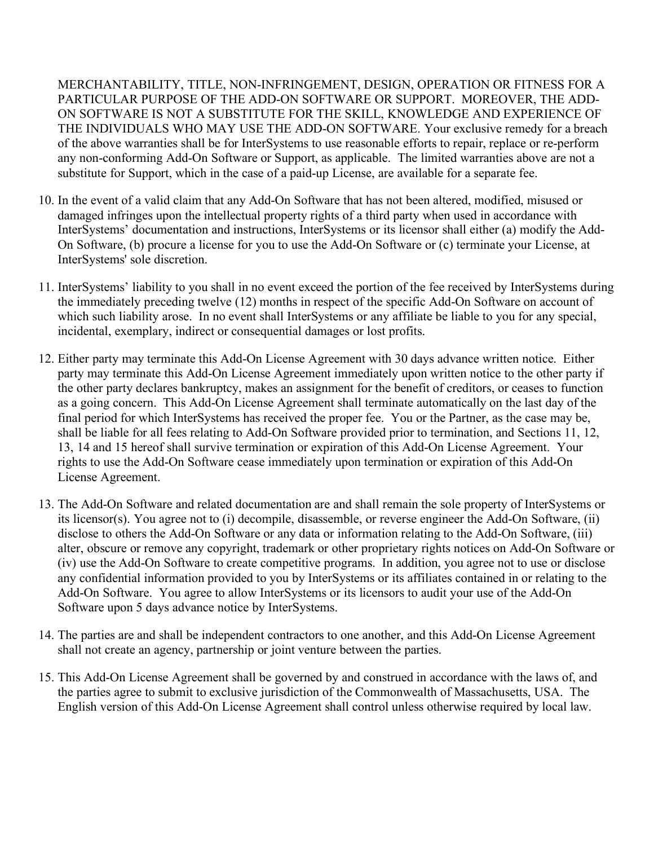MERCHANTABILITY, TITLE, NON-INFRINGEMENT, DESIGN, OPERATION OR FITNESS FOR A PARTICULAR PURPOSE OF THE ADD-ON SOFTWARE OR SUPPORT. MOREOVER, THE ADD-ON SOFTWARE IS NOT A SUBSTITUTE FOR THE SKILL, KNOWLEDGE AND EXPERIENCE OF THE INDIVIDUALS WHO MAY USE THE ADD-ON SOFTWARE. Your exclusive remedy for a breach of the above warranties shall be for InterSystems to use reasonable efforts to repair, replace or re-perform any non-conforming Add-On Software or Support, as applicable. The limited warranties above are not a substitute for Support, which in the case of a paid-up License, are available for a separate fee.

- 10. In the event of a valid claim that any Add-On Software that has not been altered, modified, misused or damaged infringes upon the intellectual property rights of a third party when used in accordance with InterSystems' documentation and instructions, InterSystems or its licensor shall either (a) modify the Add-On Software, (b) procure a license for you to use the Add-On Software or (c) terminate your License, at InterSystems' sole discretion.
- 11. InterSystems' liability to you shall in no event exceed the portion of the fee received by InterSystems during the immediately preceding twelve (12) months in respect of the specific Add-On Software on account of which such liability arose. In no event shall InterSystems or any affiliate be liable to you for any special, incidental, exemplary, indirect or consequential damages or lost profits.
- 12. Either party may terminate this Add-On License Agreement with 30 days advance written notice. Either party may terminate this Add-On License Agreement immediately upon written notice to the other party if the other party declares bankruptcy, makes an assignment for the benefit of creditors, or ceases to function as a going concern. This Add-On License Agreement shall terminate automatically on the last day of the final period for which InterSystems has received the proper fee. You or the Partner, as the case may be, shall be liable for all fees relating to Add-On Software provided prior to termination, and Sections 11, 12, 13, 14 and 15 hereof shall survive termination or expiration of this Add-On License Agreement. Your rights to use the Add-On Software cease immediately upon termination or expiration of this Add-On License Agreement.
- 13. The Add-On Software and related documentation are and shall remain the sole property of InterSystems or its licensor(s). You agree not to (i) decompile, disassemble, or reverse engineer the Add-On Software, (ii) disclose to others the Add-On Software or any data or information relating to the Add-On Software, (iii) alter, obscure or remove any copyright, trademark or other proprietary rights notices on Add-On Software or (iv) use the Add-On Software to create competitive programs. In addition, you agree not to use or disclose any confidential information provided to you by InterSystems or its affiliates contained in or relating to the Add-On Software. You agree to allow InterSystems or its licensors to audit your use of the Add-On Software upon 5 days advance notice by InterSystems.
- 14. The parties are and shall be independent contractors to one another, and this Add-On License Agreement shall not create an agency, partnership or joint venture between the parties.
- 15. This Add-On License Agreement shall be governed by and construed in accordance with the laws of, and the parties agree to submit to exclusive jurisdiction of the Commonwealth of Massachusetts, USA. The English version of this Add-On License Agreement shall control unless otherwise required by local law.